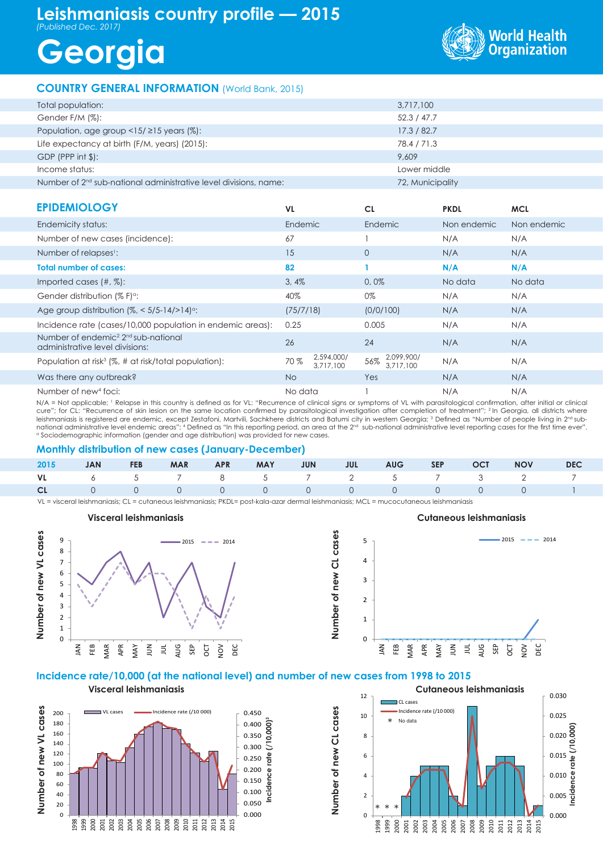## **Leishmaniasis country profile — 2015** *(Published Dec. 2017)*

# **Georgia**



### **COUNTRY GENERAL INFORMATION** (World Bank, 2015)

| Total population:                                                  | 3,717,100        |
|--------------------------------------------------------------------|------------------|
| Gender F/M (%):                                                    | 52.3 / 47.7      |
| Population, age group $\langle 15/215 \rangle$ years (%):          | 17.3 / 82.7      |
| Life expectancy at birth (F/M, years) (2015):                      | 78.4 / 71.3      |
| $GDP$ (PPP int $\frac{1}{2}$ ):                                    | 9.609            |
| Income status:                                                     | Lower middle     |
| Number of $2nd$ sub-national administrative level divisions, name: | 72, Municipality |
|                                                                    |                  |

| <b>EPIDEMIOLOGY</b>                                                                            | <b>VL</b> |                         | <b>CL</b>                      | <b>PKDL</b> | <b>MCL</b>  |
|------------------------------------------------------------------------------------------------|-----------|-------------------------|--------------------------------|-------------|-------------|
| Endemicity status:                                                                             | Endemic   |                         | Endemic                        | Non endemic | Non endemic |
| Number of new cases (incidence):                                                               | 67        |                         |                                | N/A         | N/A         |
| Number of relapses <sup>1</sup> :                                                              | 15        |                         | $\overline{0}$                 | N/A         | N/A         |
| <b>Total number of cases:</b>                                                                  | 82        |                         |                                | N/A         | N/A         |
| Imported cases $(\#,\%)$ :                                                                     | 3,4%      |                         | 0,0%                           | No data     | No data     |
| Gender distribution $(\% F)^{\alpha}$ :                                                        | 40%       |                         | 0%                             | N/A         | N/A         |
| Age group distribution $\frac{1}{6}$ < 5/5-14/>14) <sup>o</sup> :                              | (75/7/18) |                         | (0/0/100)                      | N/A         | N/A         |
| Incidence rate (cases/10,000 population in endemic areas):                                     | 0.25      |                         | 0.005                          | N/A         | N/A         |
| Number of endemic <sup>2</sup> 2 <sup>nd</sup> sub-national<br>administrative level divisions: | 26        |                         | 24                             | N/A         | N/A         |
| Population at risk <sup>3</sup> (%, # at risk/total population):                               | 70 %      | 2,594,000/<br>3.717.100 | 2,099,900/<br>56%<br>3.717.100 | N/A         | N/A         |
| Was there any outbreak?                                                                        | <b>No</b> |                         | Yes                            | N/A         | N/A         |
| Number of new <sup>4</sup> foci:                                                               | No data   |                         |                                | N/A         | N/A         |

N/A = Not applicable; 1 Relapse in this country is defined as for VL: "Recurrence of clinical signs or symptoms of VL with parasitological confirmation, after initial or clinical cure"; for CL: "Recurrence of skin lesion on the same location confirmed by parasitological investigation after completion of treatment"; 2 In Georgia, all districts where leishmaniasis is registered are endemic, except Zestafoni, Martvili, Sachkhere districts and Batumi city in western Georgia; <sup>3</sup> Defined as "Number of people living in 2<sup>nd</sup> subnational administrative level endemic areas"; 4 Defined as "In this reporting period, an area at the 2<sup>nd</sup> sub-national administrative level reporting cases for the first time ever". a Sociodemographic information (gender and age distribution) was provided for new cases.

#### **Monthly distribution of new cases (January-December)**

|  |  |  |  |  | 2015 JAN FEB MAR APR MAY JUN JUL AUG SEP OCT NOV DEC |  |
|--|--|--|--|--|------------------------------------------------------|--|
|  |  |  |  |  | VL 6 5 7 8 5 7 2 5 7 3 2 7                           |  |
|  |  |  |  |  | CL 0 0 0 0 0 0 0 0 0 0 0 0 1                         |  |

**Number of new CL cases**

Number of new CL cases

VL = visceral leishmaniasis; CL = cutaneous leishmaniasis; PKDL= post-kala-azar dermal leishmaniasis; MCL = mucocutaneous leishmaniasis

#### **Number of new VL cases Number of new CL cases**  $\overline{0}$ 1  $\overline{2}$ 3 4 5 6 7 8 9 JAN FEB MAR APR MAY  $\leq$  $\equiv$ AUG SEP OCT NOV DEC  $2015$   $\rightarrow$   $\rightarrow$  2014



### **Incidence rate/10,000 (at the national level) and number of new cases from 1998 to 2015**

**Visceral leishmaniasis**